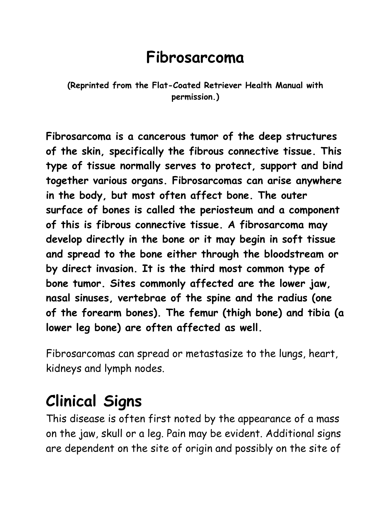#### **Fibrosarcoma**

#### **(Reprinted from the Flat-Coated Retriever Health Manual with permission.)**

**Fibrosarcoma is a cancerous tumor of the deep structures of the skin, specifically the fibrous connective tissue. This type of tissue normally serves to protect, support and bind together various organs. Fibrosarcomas can arise anywhere in the body, but most often affect bone. The outer surface of bones is called the periosteum and a component of this is fibrous connective tissue. A fibrosarcoma may develop directly in the bone or it may begin in soft tissue and spread to the bone either through the bloodstream or by direct invasion. It is the third most common type of bone tumor. Sites commonly affected are the lower jaw, nasal sinuses, vertebrae of the spine and the radius (one of the forearm bones). The femur (thigh bone) and tibia (a lower leg bone) are often affected as well.**

Fibrosarcomas can spread or metastasize to the lungs, heart, kidneys and lymph nodes.

## **Clinical Signs**

This disease is often first noted by the appearance of a mass on the jaw, skull or a leg. Pain may be evident. Additional signs are dependent on the site of origin and possibly on the site of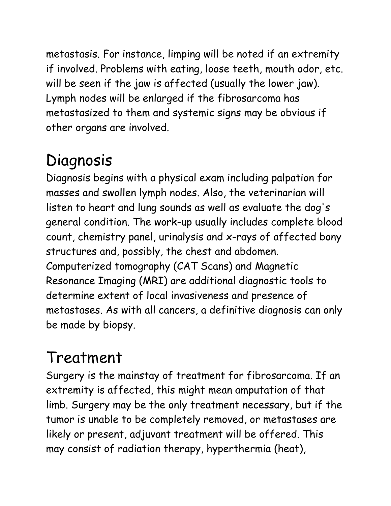metastasis. For instance, limping will be noted if an extremity if involved. Problems with eating, loose teeth, mouth odor, etc. will be seen if the jaw is affected (usually the lower jaw). Lymph nodes will be enlarged if the fibrosarcoma has metastasized to them and systemic signs may be obvious if other organs are involved.

# Diagnosis

Diagnosis begins with a physical exam including palpation for masses and swollen lymph nodes. Also, the veterinarian will listen to heart and lung sounds as well as evaluate the dog's general condition. The work-up usually includes complete blood count, chemistry panel, urinalysis and x-rays of affected bony structures and, possibly, the chest and abdomen. Computerized tomography (CAT Scans) and Magnetic Resonance Imaging (MRI) are additional diagnostic tools to determine extent of local invasiveness and presence of metastases. As with all cancers, a definitive diagnosis can only be made by biopsy.

## Treatment

Surgery is the mainstay of treatment for fibrosarcoma. If an extremity is affected, this might mean amputation of that limb. Surgery may be the only treatment necessary, but if the tumor is unable to be completely removed, or metastases are likely or present, adjuvant treatment will be offered. This may consist of radiation therapy, hyperthermia (heat),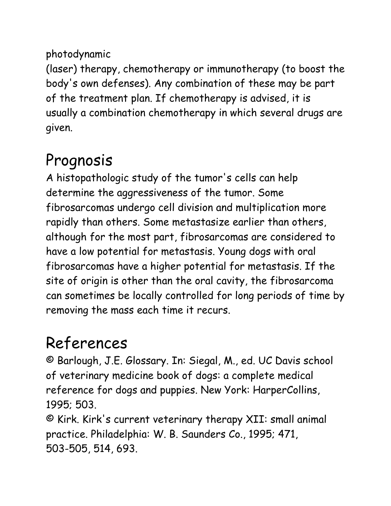#### photodynamic

(laser) therapy, chemotherapy or immunotherapy (to boost the body's own defenses). Any combination of these may be part of the treatment plan. If chemotherapy is advised, it is usually a combination chemotherapy in which several drugs are given.

## Prognosis

A histopathologic study of the tumor's cells can help determine the aggressiveness of the tumor. Some fibrosarcomas undergo cell division and multiplication more rapidly than others. Some metastasize earlier than others, although for the most part, fibrosarcomas are considered to have a low potential for metastasis. Young dogs with oral fibrosarcomas have a higher potential for metastasis. If the site of origin is other than the oral cavity, the fibrosarcoma can sometimes be locally controlled for long periods of time by removing the mass each time it recurs.

## References

© Barlough, J.E. Glossary. In: Siegal, M., ed. UC Davis school of veterinary medicine book of dogs: a complete medical reference for dogs and puppies. New York: HarperCollins, 1995; 503.

© Kirk. Kirk's current veterinary therapy XII: small animal practice. Philadelphia: W. B. Saunders Co., 1995; 471, 503-505, 514, 693.